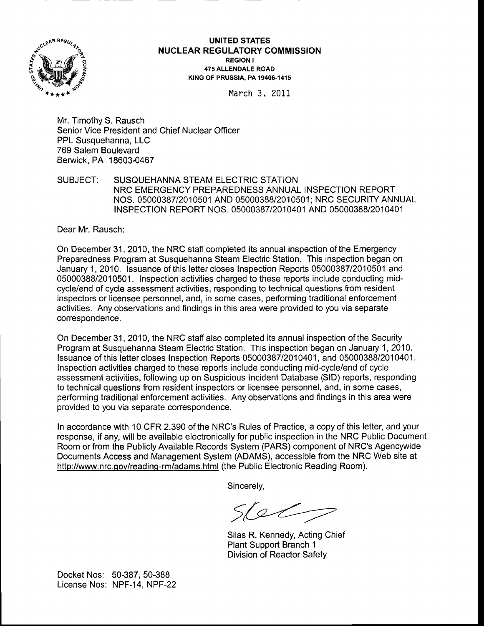

## UNITED STATES **NUCLEAR REGULATORY COMMISSION** REGION <sup>I</sup> 475 ALLENDALE ROAD K|NG OF PRUSS|A. PA 19406-1415

March 3, <sup>2011</sup>

Mr. Timothy S. Rausch Senior Vice President and Chief Nuclear Officer PPL Susquehanna, LLC 769 Salem Boulevard Benruick, PA 18603-0467

SUBJECT: SUSQUEHANNA STEAM ELECTRIC STATION NRC EMERGENCY PREPAREDNESS ANNUAL INSPECTION REPORT NOS. 0500038712010501 AND 05000388/2010501; NRC SECURITY ANNUAL INSPECTION REPORT NOS. 05000387/2010401 AND 05000388/2010401

Dear Mr. Rausch:

On December 31, 2010, the NRC staff completed its annual inspection of the Emergency Preparedness Program at Susquehanna Steam Electric Station. This inspection began on January 1,2010. lssuance of this lettercloses Inspection Reports 05000387/2010501 and 05000388/2010501 . Inspection activities charged to these reports include conducting midcycle/end of cycle assessment activities, responding to technical questions ftom resident inspectors or licensee personnel, and, in some cases, performing traditional enforcement activities. Any observations and findings in this area were provided to you via separate correspondence.

On December 31, 2010, the NRC staff also completed its annual inspection of the Security Program at Susquehanna Steam Electric Station. This inspection began on January 1, 2010. lssuance of this lettercloses Inspection Reports 05000387/2010401, and 05000388/2010401. lnspection activities charged to these reports include conducting midcycle/end of cycle assessment activities, following up on Suspicious Incident Database (SlD) reports, responding to technical questions from resident inspectors or licensee personnel, and, in some cases, performing traditional enforcement activities. Any observations and flndings in this area were provided to you via separate corespondence.

ln accordance with 10 CFR 2.390 of the NRC's Rules of Practice, a copy of this letter, and your response, if any, will be available electronically for public inspection in the NRC Public Document Room or from the Publicly Available Records System (PARS) component of NRC's Agencywide Documents Access and Management System (ADAMS), accessible from the NRC Web site at http://www.nrc.gov/reading-rm/adams.html (the Public Electronic Reading Room).

Sincerely,

 $56$ 

Silas R. Kennedy, Acting Chief Plant Support Branch <sup>1</sup> Division of Reactor Safety

Docket Nos: 50387, 50-388 License Nos: NPF-14. NPF-22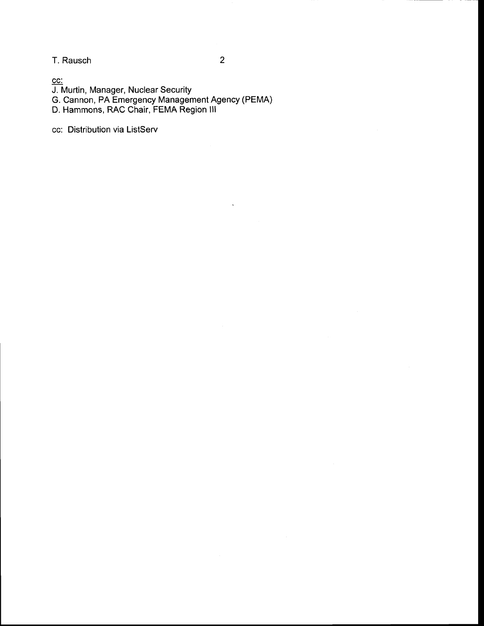T. Rausch

cc:

J. Murtin, Manager, Nuclear Security

G. Cannon, PA Emergency Management Agency (PEMA)

D. Hammons, RAC Chair, FEMA Region lll

cc: Distribution via ListServ